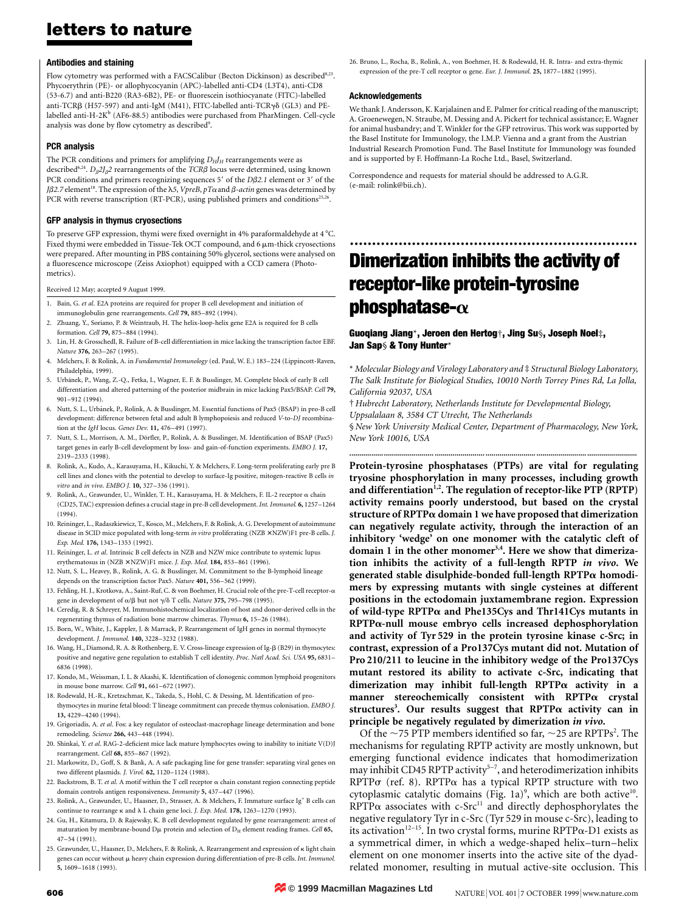### **Antibodies and staining**

Flow cytometry was performed with a FACSCalibur (Becton Dickinson) as described<sup>8,23</sup>. Phycoerythrin (PE)- or allophycocyanin (APC)-labelled anti-CD4 (L3T4), anti-CD8 (53-6.7) and anti-B220 (RA3-6B2), PE- or fluorescein isothiocyanate (FITC)-labelled anti-TCR $\beta$  (H57-597) and anti-IgM (M41), FITC-labelled anti-TCR $\gamma\delta$  (GL3) and PElabelled anti-H-2 $K^b$  (AF6-88.5) antibodies were purchased from PharMingen. Cell-cycle analysis was done by flow cytometry as described<sup>9</sup>.

## **PCR analysis**

The PCR conditions and primers for amplifying  $D_HJ_H$  rearrangements were as described<sup>6,24</sup>.  $D_{\beta}2J_{\beta}2$  rearrangements of the *TCR* $\beta$  locus were determined, using known PCR conditions and primers recognizing sequences 5' of the *D* $\beta$ 2.1 element or 3' of the  $J\beta$ 2.7 element<sup>18</sup>. The expression of the  $\lambda$ 5, *VpreB*, *pT* $\alpha$  and  $\beta$ -*actin* genes was determined by PCR with reverse transcription (RT-PCR), using published primers and conditions<sup>25,26</sup>.

### **GFP analysis in thymus cryosections**

To preserve GFP expression, thymi were fixed overnight in 4% paraformaldehyde at 4 °C. Fixed thymi were embedded in Tissue-Tek OCT compound, and 6  $\mu$ m-thick cryosections were prepared. After mounting in PBS containing 50% glycerol, sections were analysed on a fluorescence microscope (Zeiss Axiophot) equipped with a CCD camera (Photometrics).

Received 12 May; accepted 9 August 1999.

- 1. Bain, G. *et al*. E2A proteins are required for proper B cell development and initiation of immunoglobulin gene rearrangements. *Cell* **79,** 885–892 (1994).
- 2. Zhuang, Y., Soriano, P. & Weintraub, H. The helix-loop-helix gene E2A is required for B cells formation. *Cell* **79,** 875–884 (1994).
- 3. Lin, H. & Grosschedl, R. Failure of B-cell differentiation in mice lacking the transcription factor EBF. *Nature* **376,** 263–267 (1995).
- 4. Melchers, F. & Rolink, A. in *Fundamental Immunology* (ed. Paul, W. E.) 183–224 (Lippincott-Raven, Philadelphia, 1999).
- 5. Urba´nek, P., Wang, Z.-Q., Fetka, I., Wagner, E. F. & Busslinger, M. Complete block of early B cell differentiation and altered patterning of the posterior midbrain in mice lacking Pax5/BSAP. *Cell* **79,** 901–912 (1994).
- 6. Nutt, S. L., Urbánek, P., Rolink, A. & Busslinger, M. Essential functions of Pax5 (BSAP) in pro-B cell development: difference between fetal and adult B lymphopoiesis and reduced *V*-to-*DJ* recombination at the *IgH* locus. *Genes Dev.* **11,** 476–491 (1997).
- 7. Nutt, S. L., Morrison, A. M., Dörfler, P., Rolink, A. & Busslinger, M. Identification of BSAP (Pax5) target genes in early B-cell development by loss- and gain-of-function experiments. *EMBO J.* **17,** 2319–2333 (1998).
- 8. Rolink, A., Kudo, A., Karasuyama, H., Kikuchi, Y. & Melchers, F. Long-term proliferating early pre B cell lines and clones with the potential to develop to surface-Ig positive, mitogen-reactive B cells *in vitro* and *in vivo*. *EMBO J.* **10,** 327–336 (1991).
- 9. Rolink, A., Grawunder, U., Winkler, T. H., Karasuyama, H. & Melchers, F. IL-2 receptor a chain (CD25, TAC) expression defines a crucial stage in pre-B cell development. *Int. Immunol.* **6,** 1257–1264 (1994).
- 10. Reininger, L., Radaszkiewicz, T., Kosco, M., Melchers, F. & Rolink, A. G. Development of autoimmune disease in SCID mice populated with long-term *in vitro* proliferating (NZB × NZW)F1 pre-B cells. *J. Exp. Med.* **176,** 1343–1353 (1992).
- 11. Reininger, L. *et al*. Intrinsic B cell defects in NZB and NZW mice contribute to systemic lupus erythematosus in (NZB × NZW)F1 mice. *J. Exp. Med.* **184,** 853–861 (1996).
- 12. Nutt, S. L., Heavey, B., Rolink, A. G. & Busslinger, M. Commitment to the B-lymphoid lineage depends on the transcription factor Pax5. *Nature* **401,** 556–562 (1999).
- 13. Fehling, H. J., Krotkova, A., Saint-Ruf, C. & von Boehmer, H. Crucial role of the pre-T-cell receptor-a gene in development of α/β but not  $\gamma$ /δ T cells. *Nature* 375, 795–798 (1995).
- 14. Ceredig, R. & Schreyer, M. Immunohistochemical localization of host and donor-derived cells in the regenerating thymus of radiation bone marrow chimeras. *Thymus* **6,** 15–26 (1984).
- 15. Born, W., White, J., Kappler, J. & Marrack, P. Rearrangement of IgH genes in normal thymocyte development. *J. Immunol.* **140,** 3228–3232 (1988).
- 16. Wang, H., Diamond, R. A. & Rothenberg, E. V. Cross-lineage expression of Ig-b (B29) in thymocytes: positive and negative gene regulation to establish T cell identity. *Proc. Natl Acad. Sci. USA* **95,** 6831– 6836 (1998).
- 17. Kondo, M., Weissman, I. L. & Akashi, K. Identification of clonogenic common lymphoid progenitors in mouse bone marrow. *Cell* **91,** 661–672 (1997).
- 18. Rodewald, H.-R., Kretzschmar, K., Takeda, S., Hohl, C. & Dessing, M. Identification of prothymocytes in murine fetal blood: T lineage commitment can precede thymus colonisation. *EMBO J.*
- **13,** 4229–4240 (1994). 19. Grigoriadis, A. *et al*. Fos: a key regulator of osteoclast-macrophage lineage determination and bone remodeling. *Science* **266,** 443–448 (1994).
- 20. Shinkai, Y. *et al*. RAG-2-deficient mice lack mature lymphocytes owing to inability to initiate V(D)J rearrangement. *Cell* **68,** 855–867 (1992).
- 21. Markowitz, D., Goff, S. & Bank, A. A safe packaging line for gene transfer: separating viral genes on two different plasmids. *J. Virol.* **62,** 1120–1124 (1988).
- 22. Backstrom, B. T. *et al*. A motif within the T cell receptor a chain constant region connecting peptide domain controls antigen responsiveness. *Immunity* **5,** 437–447 (1996).
- 23. Rolink, A., Grawunder, U., Haasner, D., Strasser, A. & Melchers, F. Immature surface Ig<sup>+</sup> B cells can continue to rearrange  $\kappa$  and  $\lambda$  L chain gene loci. *J. Exp. Med.* 178, 1263-1270 (1993).
- 24. Gu, H., Kitamura, D. & Rajewsky, K. B cell development regulated by gene rearrangement: arrest of maturation by membrane-bound D $\mu$  protein and selection of D<sub>H</sub> element reading frames. *Cell* 65, 47–54 (1991).
- 25. Grawunder, U., Haasner, D., Melchers, F. & Rolink, A. Rearrangement and expression of k light chain genes can occur without  $\mu$  heavy chain expression during differentiation of pre-B cells. *Int. Immunol.* **5,** 1609–1618 (1993).

26. Bruno, L., Rocha, B., Rolink, A., von Boehmer, H. & Rodewald, H. R. Intra- and extra-thymic expression of the pre-T cell receptor  $\alpha$  gene. *Eur. J. Immunol.* **25,** 1877–1882 (1995).

### **Acknowledgements**

We thank J. Andersson, K. Karjalainen and E. Palmer for critical reading of the manuscript; A. Groenewegen, N. Straube, M. Dessing and A. Pickert for technical assistance; E. Wagner for animal husbandry; and T. Winkler for the GFP retrovirus. This work was supported by the Basel Institute for Immunology, the I.M.P. Vienna and a grant from the Austrian Industrial Research Promotion Fund. The Basel Institute for Immunology was founded and is supported by F. Hoffmann-La Roche Ltd., Basel, Switzerland.

Correspondence and requests for material should be addressed to A.G.R. (e-mail: rolink@bii.ch).

# ................................................................. **Dimerization inhibits the activity of receptor-like protein-tyrosine phosphatase-**a

## **Guoqiang Jiang**\***, Jeroen den Hertog**†**, Jing Su**§**, Joseph Noel**‡**, Jan Sap**§ **& Tony Hunter**\*

\* *Molecular Biology and Virology Laboratory and* ‡ *Structural Biology Laboratory, The Salk Institute for Biological Studies, 10010 North Torrey Pines Rd, La Jolla, California 92037, USA*

† *Hubrecht Laboratory, Netherlands Institute for Developmental Biology,*

*Uppsalalaan 8, 3584 CT Utrecht, The Netherlands*

§ *New York University Medical Center, Department of Pharmacology, New York, New York 10016, USA* **.......................................... ......................... ......................... ......................... .........................**

**Protein-tyrosine phosphatases (PTPs) are vital for regulating tryosine phosphorylation in many processes, including growth and differentiation1,2. The regulation of receptor-like PTP (RPTP) activity remains poorly understood, but based on the crystal structure of RPTP**a **domain 1 we have proposed that dimerization can negatively regulate activity, through the interaction of an inhibitory 'wedge' on one monomer with the catalytic cleft of** domain 1 in the other monomer<sup>3,4</sup>. Here we show that dimeriza**tion inhibits the activity of a full-length RPTP** *in vivo***. We generated stable disulphide-bonded full-length RPTP**a **homodimers by expressing mutants with single cysteines at different positions in the ectodomain juxtamembrane region. Expression of wild-type RPTP**a **and Phe135Cys and Thr141Cys mutants in RPTP**a**-null mouse embryo cells increased dephosphorylation and activity of Tyr 529 in the protein tyrosine kinase c-Src; in contrast, expression of a Pro137Cys mutant did not. Mutation of Pro 210/211 to leucine in the inhibitory wedge of the Pro137Cys mutant restored its ability to activate c-Src, indicating that dimerization may inhibit full-length RPTP**a **activity in a manner stereochemically consistent with RPTP**a **crystal structures3 . Our results suggest that RPTP**a **activity can in principle be negatively regulated by dimerization** *in vivo***.**

Of the  $\sim$ 75 PTP members identified so far,  $\sim$ 25 are RPTPs<sup>2</sup>. The mechanisms for regulating RPTP activity are mostly unknown, but emerging functional evidence indicates that homodimerization may inhibit CD45 RPTP activity<sup>5-7</sup>, and heterodimerization inhibits RPTP $\sigma$  (ref. 8). RPTP $\alpha$  has a typical RPTP structure with two cytoplasmic catalytic domains (Fig. 1a)<sup>9</sup>, which are both active<sup>10</sup>.  $RPTP\alpha$  associates with c-Src<sup>11</sup> and directly dephosphorylates the negative regulatory Tyr in c-Src (Tyr 529 in mouse c-Src), leading to its activation<sup>12–15</sup>. In two crystal forms, murine RPTP $\alpha$ -D1 exists as a symmetrical dimer, in which a wedge-shaped helix–turn–helix element on one monomer inserts into the active site of the dyadrelated monomer, resulting in mutual active-site occlusion. This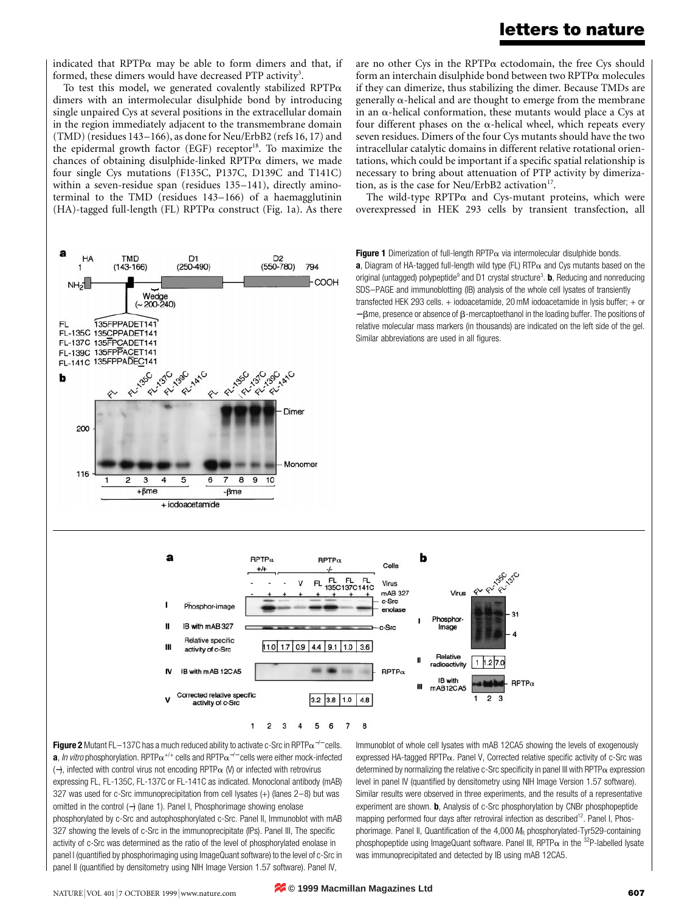are no other Cys in the RPTP $\alpha$  ectodomain, the free Cys should form an interchain disulphide bond between two RPTPa molecules if they can dimerize, thus stabilizing the dimer. Because TMDs are generally  $\alpha$ -helical and are thought to emerge from the membrane in an  $\alpha$ -helical conformation, these mutants would place a Cys at four different phases on the  $\alpha$ -helical wheel, which repeats every seven residues. Dimers of the four Cys mutants should have the two intracellular catalytic domains in different relative rotational orientations, which could be important if a specific spatial relationship is necessary to bring about attenuation of PTP activity by dimeriza-

The wild-type  $RPTP\alpha$  and Cys-mutant proteins, which were overexpressed in HEK 293 cells by transient transfection, all

tion, as is the case for Neu/ErbB2 activation $17$ .

indicated that RPTP $\alpha$  may be able to form dimers and that, if formed, these dimers would have decreased PTP activity<sup>3</sup>.

To test this model, we generated covalently stabilized RPTP $\alpha$ dimers with an intermolecular disulphide bond by introducing single unpaired Cys at several positions in the extracellular domain in the region immediately adjacent to the transmembrane domain (TMD) (residues 143–166), as done for Neu/ErbB2 (refs 16, 17) and the epidermal growth factor  $(EGF)$  receptor<sup>18</sup>. To maximize the chances of obtaining disulphide-linked RPTP $\alpha$  dimers, we made four single Cys mutations (F135C, P137C, D139C and T141C) within a seven-residue span (residues 135–141), directly aminoterminal to the TMD (residues 143–166) of a haemagglutinin (HA)-tagged full-length (FL) RPTP $\alpha$  construct (Fig. 1a). As there



**Figure 2** Mutant FL–137C has a much reduced ability to activate c-Src in RPTPα<sup>-/−</sup> cells. **a**, In vitro phosphorylation. RPTP $\alpha^{+/+}$  cells and RPTP $\alpha^{-/-}$  cells were either mock-infected (−), infected with control virus not encoding RPTPa (V) or infected with retrovirus expressing FL, FL-135C, FL-137C or FL-141C as indicated. Monoclonal antibody (mAB) 327 was used for c-Src immunoprecipitation from cell lysates (+) (lanes 2–8) but was omitted in the control (−) (lane 1). Panel I, Phosphorimage showing enolase phosphorylated by c-Src and autophosphorylated c-Src. Panel II, Immunoblot with mAB 327 showing the levels of c-Src in the immunoprecipitate (IPs). Panel III, The specific activity of c-Src was determined as the ratio of the level of phosphorylated enolase in panel I (quantified by phosphorimaging using ImageQuant software) to the level of c-Src in panel II (quantified by densitometry using NIH Image Version 1.57 software). Panel IV,

Immunoblot of whole cell lysates with mAB 12CA5 showing the levels of exogenously expressed HA-tagged RPTP $\alpha$ . Panel V, Corrected relative specific activity of c-Src was determined by normalizing the relative c-Src specificity in panel III with RPTP $\alpha$  expression level in panel IV (quantified by densitometry using NIH Image Version 1.57 software). Similar results were observed in three experiments, and the results of a representative experiment are shown. **b**, Analysis of c-Src phosphorylation by CNBr phosphopeptide mapping performed four days after retroviral infection as described<sup>12</sup>. Panel I, Phosphorimage. Panel II, Quantification of the  $4,000 M_B$  phosphorylated-Tyr529-containing phosphopeptide using ImageQuant software. Panel III, RPTP $\alpha$  in the <sup>32</sup>P-labelled lysate was immunoprecipitated and detected by IB using mAB 12CA5.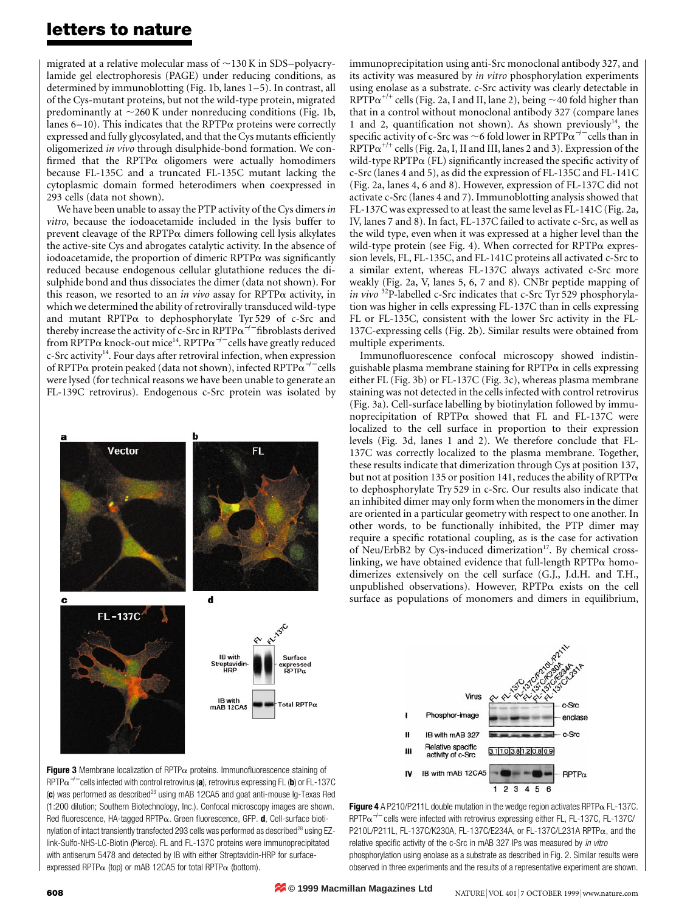migrated at a relative molecular mass of  $\sim$ 130 K in SDS–polyacrylamide gel electrophoresis (PAGE) under reducing conditions, as determined by immunoblotting (Fig. 1b, lanes 1–5). In contrast, all of the Cys-mutant proteins, but not the wild-type protein, migrated predominantly at  $\sim$ 260 K under nonreducing conditions (Fig. 1b, lanes  $6-10$ ). This indicates that the RPTP $\alpha$  proteins were correctly expressed and fully glycosylated, and that the Cys mutants efficiently oligomerized *in vivo* through disulphide-bond formation. We confirmed that the RPTP $\alpha$  oligomers were actually homodimers because FL-135C and a truncated FL-135C mutant lacking the cytoplasmic domain formed heterodimers when coexpressed in 293 cells (data not shown).

We have been unable to assay the PTP activity of the Cys dimers *in vitro*, because the iodoacetamide included in the lysis buffer to prevent cleavage of the RPTP $\alpha$  dimers following cell lysis alkylates the active-site Cys and abrogates catalytic activity. In the absence of iodoacetamide, the proportion of dimeric  $RPTP\alpha$  was significantly reduced because endogenous cellular glutathione reduces the disulphide bond and thus dissociates the dimer (data not shown). For this reason, we resorted to an *in vivo* assay for  $RPTP\alpha$  activity, in which we determined the ability of retrovirally transduced wild-type and mutant RPTPa to dephosphorylate Tyr 529 of c-Src and thereby increase the activity of c-Src in RPTP $\alpha^{-/-}$  fibroblasts derived from RPTP $\alpha$  knock-out mice<sup>14</sup>. RPTP $\alpha^{-/-}$  cells have greatly reduced  $c$ -Src activity<sup>14</sup>. Four days after retroviral infection, when expression of RPTP $\alpha$  protein peaked (data not shown), infected RPTP $\alpha^{-/-}$  cells were lysed (for technical reasons we have been unable to generate an FL-139C retrovirus). Endogenous c-Src protein was isolated by



**Figure 3** Membrane localization of RPTP $\alpha$  proteins. Immunofluorescence staining of RPTPa<sup>−</sup>/<sup>−</sup> cells infected with control retrovirus (**a**), retrovirus expressing FL (**b**) or FL-137C (c) was performed as described<sup>23</sup> using mAB 12CA5 and goat anti-mouse Ig-Texas Red (1:200 dilution; Southern Biotechnology, Inc.). Confocal microscopy images are shown. Red fluorescence, HA-tagged RPTPa. Green fluorescence, GFP. **d**, Cell-surface biotinylation of intact transiently transfected 293 cells was performed as described<sup>28</sup> using EZlink-Sulfo-NHS-LC-Biotin (Pierce). FL and FL-137C proteins were immunoprecipitated with antiserum 5478 and detected by IB with either Streptavidin-HRP for surfaceexpressed RPTP $\alpha$  (top) or mAB 12CA5 for total RPTP $\alpha$  (bottom).

immunoprecipitation using anti-Src monoclonal antibody 327, and its activity was measured by *in vitro* phosphorylation experiments using enolase as a substrate. c-Src activity was clearly detectable in RPTP $\alpha^{+/+}$  cells (Fig. 2a, I and II, lane 2), being  $\sim$  40 fold higher than that in a control without monoclonal antibody 327 (compare lanes 1 and 2, quantification not shown). As shown previously<sup>14</sup>, the specific activity of c-Src was  $\sim$ 6 fold lower in RPTP $\alpha^{-/-}$  cells than in  $RPTP\alpha^{+/+}$  cells (Fig. 2a, I, II and III, lanes 2 and 3). Expression of the wild-type RPTP $\alpha$  (FL) significantly increased the specific activity of c-Src (lanes 4 and 5), as did the expression of FL-135C and FL-141C (Fig. 2a, lanes 4, 6 and 8). However, expression of FL-137C did not activate c-Src (lanes 4 and 7). Immunoblotting analysis showed that FL-137C was expressed to at least the same level as FL-141C (Fig. 2a, IV, lanes 7 and 8). In fact, FL-137C failed to activate c-Src, as well as the wild type, even when it was expressed at a higher level than the wild-type protein (see Fig. 4). When corrected for  $RPTP\alpha$  expression levels, FL, FL-135C, and FL-141C proteins all activated c-Src to a similar extent, whereas FL-137C always activated c-Src more weakly (Fig. 2a, V, lanes 5, 6, 7 and 8). CNBr peptide mapping of *in vivo* 32P-labelled c-Src indicates that c-Src Tyr 529 phosphorylation was higher in cells expressing FL-137C than in cells expressing FL or FL-135C, consistent with the lower Src activity in the FL-137C-expressing cells (Fig. 2b). Similar results were obtained from multiple experiments.

Immunofluorescence confocal microscopy showed indistinguishable plasma membrane staining for  $RPTP\alpha$  in cells expressing either FL (Fig. 3b) or FL-137C (Fig. 3c), whereas plasma membrane staining was not detected in the cells infected with control retrovirus (Fig. 3a). Cell-surface labelling by biotinylation followed by immunoprecipitation of  $RPTP\alpha$  showed that FL and FL-137C were localized to the cell surface in proportion to their expression levels (Fig. 3d, lanes 1 and 2). We therefore conclude that FL-137C was correctly localized to the plasma membrane. Together, these results indicate that dimerization through Cys at position 137, but not at position 135 or position 141, reduces the ability of  $RPTP\alpha$ to dephosphorylate Try 529 in c-Src. Our results also indicate that an inhibited dimer may only form when the monomers in the dimer are oriented in a particular geometry with respect to one another. In other words, to be functionally inhibited, the PTP dimer may require a specific rotational coupling, as is the case for activation of Neu/ErbB2 by Cys-induced dimerization<sup>17</sup>. By chemical crosslinking, we have obtained evidence that full-length  $RPTP\alpha$  homodimerizes extensively on the cell surface (G.J., J.d.H. and T.H., unpublished observations). However,  $RPTP\alpha$  exists on the cell surface as populations of monomers and dimers in equilibrium,





**© 1999 Macmillan Magazines Ltd**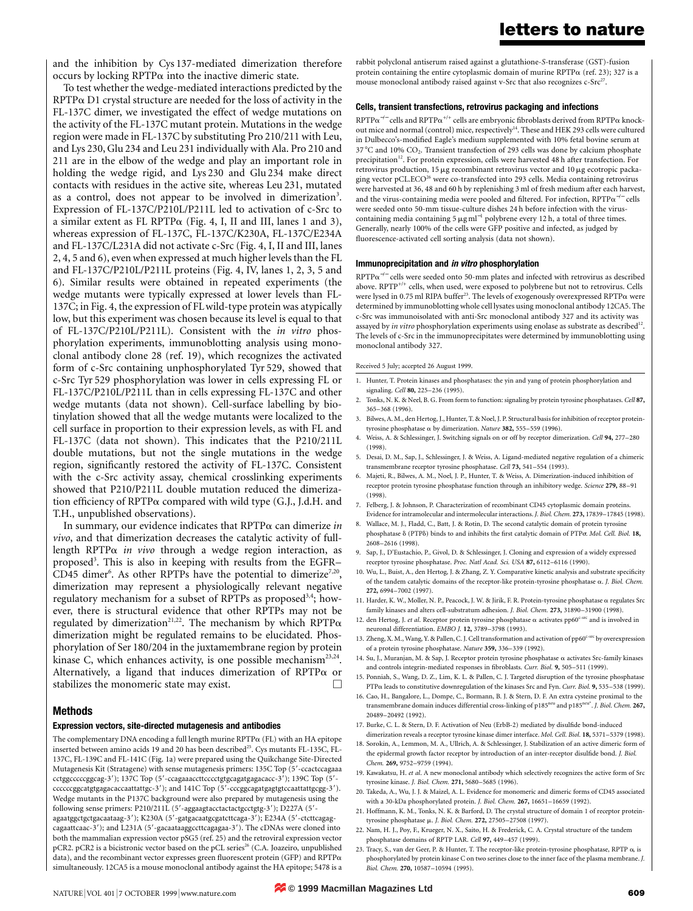and the inhibition by Cys 137-mediated dimerization therefore occurs by locking  $RPTP\alpha$  into the inactive dimeric state.

To test whether the wedge-mediated interactions predicted by the  $RPTP\alpha$  D1 crystal structure are needed for the loss of activity in the FL-137C dimer, we investigated the effect of wedge mutations on the activity of the FL-137C mutant protein. Mutations in the wedge region were made in FL-137C by substituting Pro 210/211 with Leu, and Lys 230, Glu 234 and Leu 231 individually with Ala. Pro 210 and 211 are in the elbow of the wedge and play an important role in holding the wedge rigid, and Lys 230 and Glu 234 make direct contacts with residues in the active site, whereas Leu 231, mutated as a control, does not appear to be involved in dimerization<sup>3</sup>. Expression of FL-137C/P210L/P211L led to activation of c-Src to a similar extent as FL RPTPa (Fig. 4, I, II and III, lanes 1 and 3), whereas expression of FL-137C, FL-137C/K230A, FL-137C/E234A and FL-137C/L231A did not activate c-Src (Fig. 4, I, II and III, lanes 2, 4, 5 and 6), even when expressed at much higher levels than the FL and FL-137C/P210L/P211L proteins (Fig. 4, IV, lanes 1, 2, 3, 5 and 6). Similar results were obtained in repeated experiments (the wedge mutants were typically expressed at lower levels than FL-137C; in Fig. 4, the expression of FL wild-type protein was atypically low, but this experiment was chosen because its level is equal to that of FL-137C/P210L/P211L). Consistent with the *in vitro* phosphorylation experiments, immunoblotting analysis using monoclonal antibody clone 28 (ref. 19), which recognizes the activated form of c-Src containing unphosphorylated Tyr 529, showed that c-Src Tyr 529 phosphorylation was lower in cells expressing FL or FL-137C/P210L/P211L than in cells expressing FL-137C and other wedge mutants (data not shown). Cell-surface labelling by biotinylation showed that all the wedge mutants were localized to the cell surface in proportion to their expression levels, as with FL and FL-137C (data not shown). This indicates that the P210/211L double mutations, but not the single mutations in the wedge region, significantly restored the activity of FL-137C. Consistent with the c-Src activity assay, chemical crosslinking experiments showed that P210/P211L double mutation reduced the dimerization efficiency of RPTPa compared with wild type (G.J., J.d.H. and T.H., unpublished observations).

In summary, our evidence indicates that RPTPa can dimerize *in vivo*, and that dimerization decreases the catalytic activity of fulllength RPTPa *in vivo* through a wedge region interaction, as proposed<sup>3</sup>. This is also in keeping with results from the EGFR-CD45 dimer<sup>6</sup>. As other RPTPs have the potential to dimerize<sup>7,20</sup>, dimerization may represent a physiologically relevant negative regulatory mechanism for a subset of RPTPs as proposed<sup>3,4</sup>; however, there is structural evidence that other RPTPs may not be regulated by dimerization<sup>21,22</sup>. The mechanism by which RPTP $\alpha$ dimerization might be regulated remains to be elucidated. Phosphorylation of Ser 180/204 in the juxtamembrane region by protein kinase C, which enhances activity, is one possible mechanism<sup>23,24</sup>. Alternatively, a ligand that induces dimerization of RPTP $\alpha$  or stabilizes the monomeric state may exist.

## **Methods**

## **Expression vectors, site-directed mutagenesis and antibodies**

The complementary DNA encoding a full length murine  $\text{RPTP}\alpha$  (FL) with an HA epitope inserted between amino acids 19 and 20 has been described<sup>25</sup>. Cys mutants FL-135C, FL-137C, FL-139C and FL-141C (Fig. 1a) were prepared using the Quikchange Site-Directed Mutagenesis Kit (Stratagene) with sense mutagenesis primers: 135C Top (5'-ccactccagaaa cctggcccccggcag-3'); 137C Top (5'-ccagaaaccttcccctgtgcagatgagacacc-3'); 139C Top (5'ccccccggcatgtgagacaccaattattgc-3'); and 141C Top (5'-cccggcagatgagtgtccaattattgcgg-3'). Wedge mutants in the P137C background were also prepared by mutagenesis using the following sense primers: P210/211L (5'-aggaagtacctactactgcctgtg-3'); D227A (5'agaatggctgctgacaataag-3'); K230A (5'-gatgacaatgcgatcttcaga-3'); E234A (5'-ctcttcagagcagaattcaac-3'); and L231A (5'-gacaataaggccttcagagaa-3'). The cDNAs were cloned into both the mammalian expression vector pSG5 (ref. 25) and the retroviral expression vector pCR2. pCR2 is a bicistronic vector based on the pCL series<sup>26</sup> (C.A. Joazeiro, unpublished data), and the recombinant vector expresses green fluorescent protein (GFP) and RPTPa simultaneously. 12CA5 is a mouse monoclonal antibody against the HA epitope; 5478 is a

rabbit polyclonal antiserum raised against a glutathione-*S*-transferase (GST)-fusion protein containing the entire cytoplasmic domain of murine  $RPTP\alpha$  (ref. 23); 327 is a mouse monoclonal antibody raised against v-Src that also recognizes c-Src<sup>27</sup>.

## **Cells, transient transfections, retrovirus packaging and infections**

 $\text{RPTP}\alpha^{-/-}$  cells and  $\text{RPTP}\alpha^{+/+}$  cells are embryonic fibroblasts derived from  $\text{RPTP}\alpha$  knockout mice and normal (control) mice, respectively<sup>14</sup>. These and HEK 293 cells were cultured in Dulbecco's-modified Eagle's medium supplemented with 10% fetal bovine serum at  $37^{\circ}$ C and  $10\%$  CO<sub>2</sub>. Transient transfection of 293 cells was done by calcium phosphate precipitation<sup>12</sup>. For protein expression, cells were harvested 48 h after transfection. For retrovirus production, 15  $\mu$ g recombinant retrovirus vector and 10 $\mu$ g ecotropic packaging vector pCL.ECO26 were co-transfected into 293 cells. Media containing retrovirus were harvested at 36, 48 and 60 h by replenishing 3 ml of fresh medium after each harvest, and the virus-containing media were pooled and filtered. For infection, RPTP $\alpha^{-/-}$  cells were seeded onto 50-mm tissue-culture dishes 24 h before infection with the viruscontaining media containing 5  $\mu$ g ml<sup>-1</sup> polybrene every 12 h, a total of three times. Generally, nearly 100% of the cells were GFP positive and infected, as judged by fluorescence-activated cell sorting analysis (data not shown).

## **Immunoprecipitation and in vitro phosphorylation**

RPTPa<sup>−</sup>/<sup>−</sup> cells were seeded onto 50-mm plates and infected with retrovirus as described above.  $\text{RPTP}^{+/+}$  cells, when used, were exposed to polybrene but not to retrovirus. Cells were lysed in 0.75 ml RIPA buffer<sup>23</sup>. The levels of exogenously overexpressed RPTP $\alpha$  were determined by immunoblotting whole cell lysates using monoclonal antibody 12CA5. The c-Src was immunoisolated with anti-Src monoclonal antibody 327 and its activity was assayed by *in vitro* phosphorylation experiments using enolase as substrate as described<sup>12</sup>. The levels of c-Src in the immunoprecipitates were determined by immunoblotting using monoclonal antibody 327.

#### Received 5 July; accepted 26 August 1999.

- 1. Hunter, T. Protein kinases and phosphatases: the yin and yang of protein phosphorylation and signaling. *Cell* **80,** 225–236 (1995).
- 2. Tonks, N. K. & Neel, B. G. From form to function: signaling by protein tyrosine phosphatases. *Cell* **87,** 365–368 (1996).
- 3. Bilwes, A. M., den Hertog, J., Hunter, T. & Noel, J. P. Structural basis for inhibition of receptor proteintyrosine phosphatase a by dimerization. *Nature* **382,** 555–559 (1996).
- 4. Weiss, A. & Schlessinger, J. Switching signals on or off by receptor dimerization. *Cell* **94,** 277–280 (1998).
- 5. Desai, D. M., Sap, J., Schlessinger, J. & Weiss, A. Ligand-mediated negative regulation of a chimeric transmembrane receptor tyrosine phosphatase. *Cell* **73,** 541–554 (1993).
- 6. Majeti, R., Bilwes, A. M., Noel, J. P., Hunter, T. & Weiss, A. Dimerization-induced inhibition of receptor protein tyrosine phosphatase function through an inhibitory wedge. *Science* **279,** 88–91 (1998).
- 7. Felberg, J. & Johnson, P. Characterization of recombinant CD45 cytoplasmic domain proteins. Evidence for intramolecular and intermolecular interactions. *J. Biol. Chem.* **273,** 17839–17845 (1998).
- 8. Wallace, M. J., Fladd, C., Batt, J. & Rotin, D. The second catalytic domain of protein tyrosine phosphatase d (PTPd) binds to and inhibits the first catalytic domain of PTPs. *Mol. Cell. Biol.* **18,** 2608–2616 (1998).
- 9. Sap, J., D'Eustachio, P., Givol, D. & Schlessinger, J. Cloning and expression of a widely expressed receptor tyrosine phosphatase. *Proc. Natl Acad. Sci. USA* **87,** 6112–6116 (1990).
- 10. Wu, L., Buist, A., den Hertog, J. & Zhang, Z. Y. Comparative kinetic analysis and substrate specificity of the tandem catalytic domains of the receptor-like protein-tyrosine phosphatase a. *J. Biol. Chem.* **272,** 6994–7002 (1997).
- 11. Harder, K. W., Moller, N. P., Peacock, J. W. & Jirik, F. R. Protein-tyrosine phosphatase a regulates Src family kinases and alters cell-substratum adhesion. *J. Biol. Chem.* **273,** 31890–31900 (1998).
- 12. den Hertog, J. *et al.* Receptor protein tyrosine phosphatase  $\alpha$  activates pp60<sup>c-src</sup> and is involved in neuronal differentiation. *EMBO J.* **12,** 3789–3798 (1993).
- 13. Zheng, X. M., Wang, Y. & Pallen, C. J. Cell transformation and activation of  $\rm p p 60^{c-src}$  by overexpression of a protein tyrosine phosphatase. *Nature* **359,** 336–339 (1992).
- 14. Su, J., Muranjan, M. & Sap, J. Receptor protein tyrosine phosphatase a activates Src-family kinases and controls integrin-mediated responses in fibroblasts. *Curr. Biol.* **9,** 505–511 (1999).
- 15. Ponniah, S., Wang, D. Z., Lim, K. L. & Pallen, C. J. Targeted disruption of the tyrosine phosphatase PTPa leads to constitutive downregulation of the kinases Src and Fyn. *Curr. Biol.* **9,** 535–538 (1999).
- 16. Cao, H., Bangalore, L., Dompe, C., Bormann, B. J. & Stern, D. F. An extra cysteine proximal to the transmembrane domain induces differential cross-linking of p185neu and p185neu\*. *J. Biol. Chem.* **267,** 20489–20492 (1992).
- 17. Burke, C. L. & Stern, D. F. Activation of Neu (ErbB-2) mediated by disulfide bond-induced dimerization reveals a receptor tyrosine kinase dimer interface. *Mol. Cell. Biol.* **18,** 5371–5379 (1998).
- 18. Sorokin, A., Lemmon, M. A., Ullrich, A. & Schlessinger, J. Stabilization of an active dimeric form of the epidermal growth factor receptor by introduction of an inter-receptor disulfide bond. *J. Biol. Chem.* **269,** 9752–9759 (1994).
- 19. Kawakatsu, H. *et al*. A new monoclonal antibody which selectively recognizes the active form of Src tyrosine kinase. *J. Biol. Chem.* **271,** 5680–5685 (1996).
- 20. Takeda, A., Wu, J. J. & Maizel, A. L. Evidence for monomeric and dimeric forms of CD45 associated with a 30-kDa phosphorylated protein. *J. Biol. Chem.* **267,** 16651–16659 (1992).
- 21. Hoffmann, K. M., Tonks, N. K. & Barford, D. The crystal structure of domain 1 of receptor proteintyrosine phosphatase m. *J. Biol. Chem.* **272,** 27505–27508 (1997).
- 22. Nam, H. J., Poy, F., Krueger, N. X., Saito, H. & Frederick, C. A. Crystal structure of the tandem phosphatase domains of RPTP LAR. *Cell* **97,** 449–457 (1999).
- 23. Tracy, S., van der Geer, P. & Hunter, T. The receptor-like protein-tyrosine phosphatase, RPTP a, is phosphorylated by protein kinase C on two serines close to the inner face of the plasma membrane. *J. Biol. Chem.* **270,** 10587–10594 (1995).